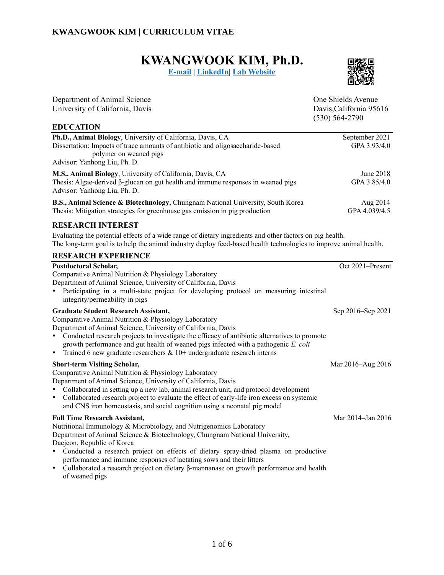# **KWANGWOOK KIM, Ph.D.**

**[E-mail](mailto:kwkkim@ucdavis.edu) | [LinkedIn|](https://www.linkedin.com/in/kwangwook-kim/) [Lab Website](https://animalnutr-ansci.faculty.ucdavis.edu/)**



| Department of Animal Science<br>University of California, Davis                                                                                                                                                                                                                                                                                                                                                                              | One Shields Avenue<br>Davis, California 95616<br>$(530) 564 - 2790$ |
|----------------------------------------------------------------------------------------------------------------------------------------------------------------------------------------------------------------------------------------------------------------------------------------------------------------------------------------------------------------------------------------------------------------------------------------------|---------------------------------------------------------------------|
| <b>EDUCATION</b><br>Ph.D., Animal Biology, University of California, Davis, CA                                                                                                                                                                                                                                                                                                                                                               | September 2021                                                      |
| Dissertation: Impacts of trace amounts of antibiotic and oligosaccharide-based<br>polymer on weaned pigs<br>Advisor: Yanhong Liu, Ph. D.                                                                                                                                                                                                                                                                                                     | GPA 3.93/4.0                                                        |
| M.S., Animal Biology, University of California, Davis, CA<br>Thesis: Algae-derived $\beta$ -glucan on gut health and immune responses in weaned pigs<br>Advisor: Yanhong Liu, Ph. D.                                                                                                                                                                                                                                                         | June 2018<br>GPA 3.85/4.0                                           |
| B.S., Animal Science & Biotechnology, Chungnam National University, South Korea<br>Thesis: Mitigation strategies for greenhouse gas emission in pig production                                                                                                                                                                                                                                                                               | Aug 2014<br>GPA 4.039/4.5                                           |
| <b>RESEARCH INTEREST</b>                                                                                                                                                                                                                                                                                                                                                                                                                     |                                                                     |
| Evaluating the potential effects of a wide range of dietary ingredients and other factors on pig health.<br>The long-term goal is to help the animal industry deploy feed-based health technologies to improve animal health.                                                                                                                                                                                                                |                                                                     |
| <b>RESEARCH EXPERIENCE</b>                                                                                                                                                                                                                                                                                                                                                                                                                   |                                                                     |
| <b>Postdoctoral Scholar,</b><br>Comparative Animal Nutrition & Physiology Laboratory<br>Department of Animal Science, University of California, Davis<br>Participating in a multi-state project for developing protocol on measuring intestinal<br>$\bullet$<br>integrity/permeability in pigs                                                                                                                                               | Oct 2021-Present                                                    |
| <b>Graduate Student Research Assistant,</b><br>Comparative Animal Nutrition & Physiology Laboratory<br>Department of Animal Science, University of California, Davis<br>• Conducted research projects to investigate the efficacy of antibiotic alternatives to promote<br>growth performance and gut health of weaned pigs infected with a pathogenic E. coli<br>Trained 6 new graduate researchers $& 10+$ undergraduate research interns  | Sep 2016–Sep 2021                                                   |
| <b>Short-term Visiting Scholar,</b><br>Comparative Animal Nutrition & Physiology Laboratory<br>Department of Animal Science, University of California, Davis<br>Collaborated in setting up a new lab, animal research unit, and protocol development<br>Collaborated research project to evaluate the effect of early-life iron excess on systemic<br>$\bullet$<br>and CNS iron homeostasis, and social cognition using a neonatal pig model | Mar 2016-Aug 2016                                                   |
| <b>Full Time Research Assistant,</b><br>Nutritional Immunology & Microbiology, and Nutrigenomics Laboratory<br>Department of Animal Science & Biotechnology, Chungnam National University,                                                                                                                                                                                                                                                   | Mar 2014-Jan 2016                                                   |

Daejeon, Republic of Korea

- Conducted a research project on effects of dietary spray-dried plasma on productive performance and immune responses of lactating sows and their litters
- Collaborated a research project on dietary β-mannanase on growth performance and health of weaned pigs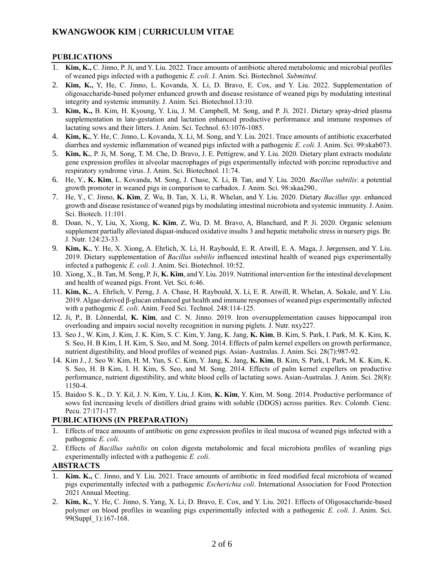#### **PUBLICATIONS**

- 1. **Kim, K.,** C. Jinno, P. Ji, and Y. Liu. 2022. Trace amounts of antibiotic altered metabolomic and microbial profiles of weaned pigs infected with a pathogenic *E. coli*. J. Anim. Sci. Biotechnol. *Submitted*.
- 2. **Kim, K.,** Y, He, C. Jinno, L. Kovanda, X. Li, D. Bravo, E. Cox, and Y. Liu. 2022. Supplementation of oligosaccharide-based polymer enhanced growth and disease resistance of weaned pigs by modulating intestinal integrity and systemic immunity. J. Anim. Sci. Biotechnol.13:10.
- 3. **Kim, K.,** B. Kim, H. Kyoung, Y. Liu, J. M. Campbell, M. Song, and P. Ji. 2021. Dietary spray-dried plasma supplementation in late-gestation and lactation enhanced productive performance and immune responses of lactating sows and their litters. J. Anim. Sci. Technol. 63:1076-1085.
- 4. **Kim, K.**, Y. He, C. Jinno, L. Kovanda, X. Li, M. Song, and Y. Liu. 2021. Trace amounts of antibiotic exacerbated diarrhea and systemic inflammation of weaned pigs infected with a pathogenic *E. coli.* J. Anim. Sci. 99:skab073.
- 5. **Kim, K.**, P. Ji, M. Song, T. M. Che, D. Bravo, J. E. Pettigrew, and Y. Liu. 2020. Dietary plant extracts modulate gene expression profiles in alveolar macrophages of pigs experimentally infected with porcine reproductive and respiratory syndrome virus. J. Anim. Sci. Biotechnol. 11:74.
- 6. He, Y., **K. Kim**, L. Kovanda, M. Song, J. Chase, X. Li, B. Tan, and Y. Liu. 2020. *Bacillus subtilis*: a potential growth promoter in weaned pigs in comparison to carbadox. J. Anim. Sci. 98:skaa290..
- 7. He, Y., C. Jinno, **K. Kim**, Z. Wu, B. Tan, X. Li, R. Whelan, and Y. Liu. 2020. Dietary *Bacillus spp.* enhanced growth and disease resistance of weaned pigs by modulating intestinal microbiota and systemic immunity. J. Anim. Sci. Biotech. 11:101.
- 8. Doan, N., Y, Liu, X, Xiong, **K. Kim**, Z, Wu, D. M. Bravo, A, Blanchard, and P. Ji. 2020. Organic selenium supplement partially alleviated diquat-induced oxidative insults 3 and hepatic metabolic stress in nursery pigs. Br. J. Nutr. 124:23-33.
- 9. **Kim, K.**, Y. He, X. Xiong, A. Ehrlich, X. Li, H. Raybould, E. R. Atwill, E. A. Maga, J. Jørgensen, and Y. Liu. 2019. Dietary supplementation of *Bacillus subtilis* influenced intestinal health of weaned pigs experimentally infected a pathogenic *E. coli.* J. Anim. Sci. Biotechnol. 10:52.
- 10. Xiong, X., B. Tan, M. Song, P. Ji, **K. Kim**, and Y. Liu. 2019. Nutritional intervention for the intestinal development and health of weaned pigs. Front. Vet. Sci. 6:46.
- 11. **Kim, K.**, A. Ehrlich, V. Perng, J. A. Chase, H. Raybould, X. Li, E. R. Atwill, R. Whelan, A. Sokale, and Y. Liu. 2019. Algae-derived β-glucan enhanced gut health and immune responses of weaned pigs experimentally infected with a pathogenic *E. coli*. Anim. Feed Sci. Technol. 248:114-125.
- 12. Ji, P., B. Lönnerdal, **K. Kim**, and C. N. Jinno. 2019. Iron oversupplementation causes hippocampal iron overloading and impairs social novelty recognition in nursing piglets. J. Nutr. nxy227.
- 13. Seo J., W. Kim, J. Kim, J. K. Kim, S. C. Kim, Y. Jang, K. Jang, **K. Kim**, B. Kim, S. Park, I. Park, M. K. Kim, K. S. Seo, H. B Kim, I. H. Kim, S. Seo, and M. Song. 2014. Effects of palm kernel expellers on growth performance, nutrient digestibility, and blood profiles of weaned pigs. Asian- Australas. J. Anim. Sci. 28(7):987-92.
- 14. Kim J., J. Seo W. Kim, H. M. Yun, S. C. Kim, Y. Jang, K. Jang, **K. Kim**, B. Kim, S. Park, I. Park, M. K. Kim, K. S. Seo, H. B Kim, I. H. Kim, S. Seo, and M. Song. 2014. Effects of palm kernel expellers on productive performance, nutrient digestibility, and white blood cells of lactating sows. Asian-Australas. J. Anim. Sci. 28(8): 1150-4.
- 15. Baidoo S. K., D. Y. Kil, J. N. Kim, Y. Liu, J. Kim, **K. Kim**, Y. Kim, M. Song. 2014. Productive performance of sows fed increasing levels of distillers dried grains with soluble (DDGS) across parities. Rev. Colomb. Cienc. Pecu. 27:171-177*.*

## **PUBLICATIONS (IN PREPARATION)**

- 1. Effects of trace amounts of antibiotic on gene expression profiles in ileal mucosa of weaned pigs infected with a pathogenic *E. coli*.
- 2. Effects of *Bacillus subtilis* on colon digesta metabolomic and fecal microbiota profiles of weanling pigs experimentally infected with a pathogenic *E. coli*.

#### **ABSTRACTS**

- 1. **Kim. K.,** C. Jinno, and Y. Liu. 2021. Trace amounts of antibiotic in feed modified fecal microbiota of weaned pigs experimentally infected with a pathogenic *Escherichia coli*. International Association for Food Protection 2021 Annual Meeting.
- 2. **Kim, K.**, Y. He, C. Jinno, S. Yang, X. Li, D. Bravo, E. Cox, and Y. Liu. 2021. Effects of Oligosaccharide-based polymer on blood profiles in weanling pigs experimentally infected with a pathogenic *E. coli*. J. Anim. Sci. 99(Suppl\_1):167-168.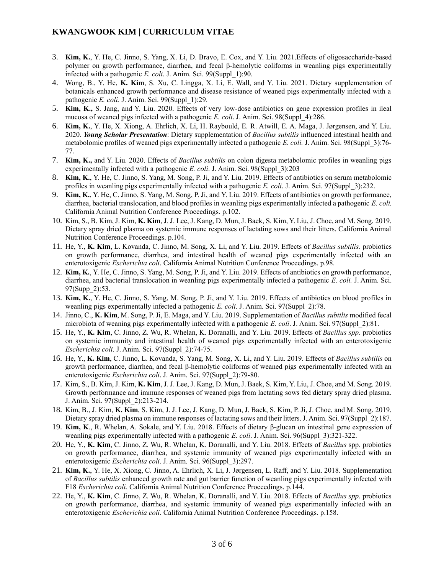- 3. **Kim, K.**, Y. He, C. Jinno, S. Yang, X. Li, D. Bravo, E. Cox, and Y. Liu. 2021.Effects of oligosaccharide-based polymer on growth performance, diarrhea, and fecal β-hemolytic coliforms in weanling pigs experimentally infected with a pathogenic *E. coli*. J. Anim. Sci. 99(Suppl\_1):90.
- 4. Wong, B., Y. He, **K. Kim**, S. Xu, C. Lingga, X. Li, E. Wall, and Y. Liu. 2021. Dietary supplementation of botanicals enhanced growth performance and disease resistance of weaned pigs experimentally infected with a pathogenic *E. coli*. J. Anim. Sci. 99(Suppl\_1):29.
- 5. **Kim, K.,** S. Jang, and Y. Liu. 2020. Effects of very low-dose antibiotics on gene expression profiles in ileal mucosa of weaned pigs infected with a pathogenic *E. coli*. J. Anim. Sci. 98(Suppl\_4):286.
- 6. **Kim, K.**, Y. He, X. Xiong, A. Ehrlich, X. Li, H. Raybould, E. R. Atwill, E. A. Maga, J. Jørgensen, and Y. Liu. 2020. *Young Scholar Presentation*: Dietary supplementation of *Bacillus subtilis* influenced intestinal health and metabolomic profiles of weaned pigs experimentally infected a pathogenic *E. coli.* J. Anim. Sci. 98(Suppl\_3):76- 77.
- 7. **Kim, K.,** and Y. Liu. 2020. Effects of *Bacillus subtilis* on colon digesta metabolomic profiles in weanling pigs experimentally infected with a pathogenic *E. coli*. J. Anim. Sci. 98(Suppl\_3):203
- 8. **Kim, K.**, Y. He, C. Jinno, S. Yang, M. Song, P. Ji, and Y. Liu. 2019. Effects of antibiotics on serum metabolomic profiles in weanling pigs experimentally infected with a pathogenic *E. coli*. J. Anim. Sci. 97(Suppl\_3):232.
- 9. **Kim, K.**, Y. He, C. Jinno, S. Yang, M. Song, P. Ji, and Y. Liu. 2019. Effects of antibiotics on growth performance, diarrhea, bacterial translocation, and blood profiles in weanling pigs experimentally infected a pathogenic *E. coli.* California Animal Nutrition Conference Proceedings. p.102.
- 10. Kim, S., B. Kim, J. Kim, **K. Kim**, J. J. Lee, J. Kang, D. Mun, J. Baek, S. Kim, Y. Liu, J. Choe, and M. Song. 2019. Dietary spray dried plasma on systemic immune responses of lactating sows and their litters. California Animal Nutrition Conference Proceedings. p.104.
- 11. He, Y., **K. Kim**, L. Kovanda, C. Jinno, M. Song, X. Li, and Y. Liu. 2019. Effects of *Bacillus subtilis.* probiotics on growth performance, diarrhea, and intestinal health of weaned pigs experimentally infected with an enterotoxigenic *Escherichia coli*. California Animal Nutrition Conference Proceedings. p.98.
- 12. **Kim, K.**, Y. He, C. Jinno, S. Yang, M. Song, P. Ji, and Y. Liu. 2019. Effects of antibiotics on growth performance, diarrhea, and bacterial translocation in weanling pigs experimentally infected a pathogenic *E. coli.* J. Anim. Sci. 97(Supp\_2):53.
- 13. **Kim, K.**, Y. He, C. Jinno, S. Yang, M. Song, P. Ji, and Y. Liu. 2019. Effects of antibiotics on blood profiles in weanling pigs experimentally infected a pathogenic *E. coli*. J. Anim. Sci. 97(Suppl\_2):78.
- 14. Jinno, C., **K. Kim**, M. Song, P. Ji, E. Maga, and Y. Liu. 2019. Supplementation of *Bacillus subtilis* modified fecal microbiota of weaning pigs experimentally infected with a pathogenic *E. coli*. J. Anim. Sci. 97(Suppl\_2):81.
- 15. He, Y., **K. Kim**, C. Jinno, Z. Wu, R. Whelan, K. Doranalli, and Y. Liu. 2019. Effects of *Bacillus spp.* probiotics on systemic immunity and intestinal health of weaned pigs experimentally infected with an enterotoxigenic *Escherichia coli*. J. Anim. Sci. 97(Suppl\_2):74-75.
- 16. He, Y., **K. Kim**, C. Jinno, L. Kovanda, S. Yang, M. Song, X. Li, and Y. Liu. 2019. Effects of *Bacillus subtilis* on growth performance, diarrhea, and fecal β-hemolytic coliforms of weaned pigs experimentally infected with an enterotoxigenic *Escherichia coli*. J. Anim. Sci. 97(Suppl\_2):79-80.
- 17. Kim, S., B. Kim, J. Kim, **K. Kim**, J. J. Lee, J. Kang, D. Mun, J. Baek, S. Kim, Y. Liu, J. Choe, and M. Song. 2019. Growth performance and immune responses of weaned pigs from lactating sows fed dietary spray dried plasma. J. Anim. Sci. 97(Suppl\_2):213-214.
- 18. Kim, B., J. Kim, **K. Kim**, S. Kim, J. J. Lee, J. Kang, D. Mun, J. Baek, S. Kim, P. Ji, J. Choe, and M. Song. 2019. Dietary spray dried plasma on immune responses of lactating sows and their litters. J. Anim. Sci. 97(Suppl\_2):187.
- 19. **Kim, K**., R. Whelan, A. Sokale, and Y. Liu. 2018. Effects of dietary β-glucan on intestinal gene expression of weanling pigs experimentally infected with a pathogenic *E. coli*. J. Anim. Sci. 96(Suppl\_3):321-322.
- 20. He, Y., **K. Kim**, C. Jinno, Z. Wu, R. Whelan, K. Doranalli, and Y. Liu. 2018. Effects of *Bacillus* spp. probiotics on growth performance, diarrhea, and systemic immunity of weaned pigs experimentally infected with an enterotoxigenic *Escherichia coli*. J. Anim. Sci. 96(Suppl\_3):297.
- 21. **Kim, K.**, Y. He, X. Xiong, C. Jinno, A. Ehrlich, X. Li, J. Jørgensen, L. Raff, and Y. Liu. 2018. Supplementation of *Bacillus subtilis* enhanced growth rate and gut barrier function of weanling pigs experimentally infected with F18 *Escherichia coli*. California Animal Nutrition Conference Proceedings. p.144.
- 22. He, Y., **K. Kim**, C. Jinno, Z. Wu, R. Whelan, K. Doranalli, and Y. Liu. 2018. Effects of *Bacillus spp*. probiotics on growth performance, diarrhea, and systemic immunity of weaned pigs experimentally infected with an enterotoxigenic *Escherichia coli*. California Animal Nutrition Conference Proceedings. p.158.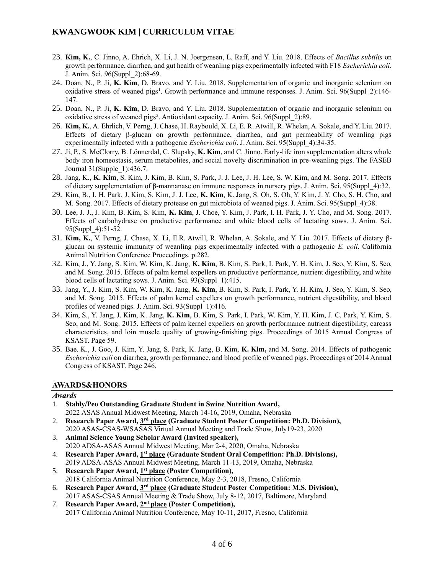- 23. **Kim, K.**, C. Jinno, A. Ehrich, X. Li, J. N. Joergensen, L. Raff, and Y. Liu. 2018. Effects of *Bacillus subtilis* on growth performance, diarrhea, and gut health of weanling pigs experimentally infected with F18 *Escherichia coli*. J. Anim. Sci. 96(Suppl\_2):68-69.
- 24. Doan, N., P. Ji, **K. Kim**, D. Bravo, and Y. Liu. 2018. Supplementation of organic and inorganic selenium on oxidative stress of weaned pigs<sup>1</sup>. Growth performance and immune responses. J. Anim. Sci. 96(Suppl\_2):146-147.
- 25. Doan, N., P. Ji, **K. Kim**, D. Bravo, and Y. Liu. 2018. Supplementation of organic and inorganic selenium on oxidative stress of weaned pigs<sup>2</sup>. Antioxidant capacity. J. Anim. Sci. 96(Suppl\_2):89.
- 26. **Kim, K.**, A. Ehrlich, V. Perng, J. Chase, H. Raybould, X. Li, E. R. Atwill, R. Whelan, A. Sokale, and Y. Liu. 2017. Effects of dietary β-glucan on growth performance, diarrhea, and gut permeability of weanling pigs experimentally infected with a pathogenic *Escherichia coli*. J. Anim. Sci. 95(Suppl\_4):34-35.
- 27. Ji, P., S. McClorry, B. Lönnerdal, C. Slupsky, **K. Kim**, and C. Jinno. Early-life iron supplementation alters whole body iron homeostasis, serum metabolites, and social novelty discrimination in pre-weanling pigs. The FASEB Journal 31(Supple\_1):436.7.
- 28. Jang, K., **K. Kim**, S. Kim, J. Kim, B. Kim, S. Park, J. J. Lee, J. H. Lee, S. W. Kim, and M. Song. 2017. Effects of dietary supplementation of β-mannanase on immune responses in nursery pigs. J. Anim. Sci. 95(Suppl\_4):32.
- 29. Kim, B., I. H. Park, J. Kim, S. Kim, J. J. Lee, **K. Kim**, K. Jang, S. Oh, S. Oh, Y. Kim, J. Y. Cho, S. H. Cho, and M. Song. 2017. Effects of dietary protease on gut microbiota of weaned pigs. J. Anim. Sci. 95(Suppl\_4):38.
- 30. Lee, J. J., J. Kim, B. Kim, S. Kim, **K. Kim**, J. Choe, Y. Kim, J. Park, I. H. Park, J. Y. Cho, and M. Song. 2017. Effects of carbohydrase on productive performance and white blood cells of lactating sows. J. Anim. Sci. 95(Suppl\_4):51-52.
- 31. **Kim, K.**, V. Perng, J. Chase, X. Li, E.R. Atwill, R. Whelan, A. Sokale, and Y. Liu. 2017. Effects of dietary βglucan on systemic immunity of weanling pigs experimentally infected with a pathogenic *E. coli*. California Animal Nutrition Conference Proceedings. p.282.
- 32. Kim, J., Y. Jang, S. Kim, W. Kim, K. Jang, **K. Kim**, B. Kim, S. Park, I. Park, Y. H. Kim, J. Seo, Y. Kim, S. Seo, and M. Song. 2015. Effects of palm kernel expellers on productive performance, nutrient digestibility, and white blood cells of lactating sows. J. Anim. Sci. 93(Suppl\_1):415.
- 33. Jang, Y., J. Kim, S. Kim, W. Kim, K. Jang, **K. Kim**, B. Kim, S. Park, I. Park, Y. H. Kim, J. Seo, Y. Kim, S. Seo, and M. Song. 2015. Effects of palm kernel expellers on growth performance, nutrient digestibility, and blood profiles of weaned pigs. J. Anim. Sci. 93(Suppl\_1):416.
- 34. Kim, S., Y. Jang, J. Kim, K. Jang, **K. Kim**, B. Kim, S. Park, I. Park, W. Kim, Y. H. Kim, J. C. Park, Y. Kim, S. Seo, and M. Song. 2015. Effects of palm kernel expellers on growth performance nutrient digestibility, carcass characteristics, and loin muscle quality of growing-finishing pigs. Proceedings of 2015 Annual Congress of KSAST. Page 59.
- 35. Bae. K., J. Goo, J. Kim, Y. Jang, S. Park, K. Jang, B. Kim, **K. Kim,** and M. Song. 2014. Effects of pathogenic *Escherichia coli* on diarrhea, growth performance, and blood profile of weaned pigs. Proceedings of 2014 Annual Congress of KSAST. Page 246.

## **AWARDS&HONORS**

#### *Awards*

- 1. **Stahly/Peo Outstanding Graduate Student in Swine Nutrition Award,** 2022 ASAS Annual Midwest Meeting, March 14-16, 2019, Omaha, Nebraska 2. Research Paper Award, 3rd place (Graduate Student Poster Competition: Ph.D. Division), 2020 ASAS-CSAS-WSASAS Virtual Annual Meeting and Trade Show, July19-23, 2020
- 3. **Animal Science Young Scholar Award (Invited speaker),** 2020 ADSA-ASAS Annual Midwest Meeting, Mar 2-4, 2020, Omaha, Nebraska
- 4. **Research Paper Award, 1 st place (Graduate Student Oral Competition: Ph.D. Divisions),** 2019 ADSA-ASAS Annual Midwest Meeting, March 11-13, 2019, Omaha, Nebraska
- 5. Research Paper Award, **1<sup>st</sup> place** (Poster Competition), 2018 California Animal Nutrition Conference, May 2-3, 2018, Fresno, California
- 6. **Research Paper Award, 3 rd place (Graduate Student Poster Competition: M.S. Division),** 2017 ASAS-CSAS Annual Meeting & Trade Show, July 8-12, 2017, Baltimore, Maryland
- 7. Research Paper Award, 2<sup>nd</sup> place (Poster Competition), 2017 California Animal Nutrition Conference, May 10-11, 2017, Fresno, California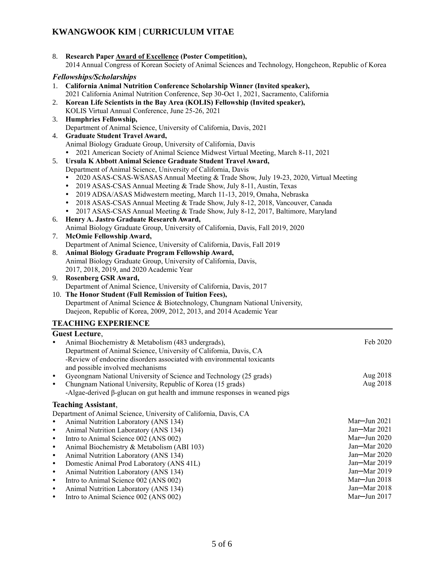| 8. Research Paper Award of Excellence (Poster Competition),                                            |
|--------------------------------------------------------------------------------------------------------|
| 2014 Annual Congress of Korean Society of Animal Sciences and Technology, Hongcheon, Republic of Korea |

## *Fellowships/Scholarships*

|           | T cuowships/Schouu ships                                                                    |              |
|-----------|---------------------------------------------------------------------------------------------|--------------|
|           | 1. California Animal Nutrition Conference Scholarship Winner (Invited speaker),             |              |
|           | 2021 California Animal Nutrition Conference, Sep 30-Oct 1, 2021, Sacramento, California     |              |
| 2.        | Korean Life Scientists in the Bay Area (KOLIS) Fellowship (Invited speaker),                |              |
|           | KOLIS Virtual Annual Conference, June 25-26, 2021                                           |              |
| 3.        | <b>Humphries Fellowship,</b>                                                                |              |
|           | Department of Animal Science, University of California, Davis, 2021                         |              |
| 4.        | <b>Graduate Student Travel Award,</b>                                                       |              |
|           | Animal Biology Graduate Group, University of California, Davis                              |              |
|           | 2021 American Society of Animal Science Midwest Virtual Meeting, March 8-11, 2021           |              |
| 5.        | Ursula K Abbott Animal Science Graduate Student Travel Award,                               |              |
|           | Department of Animal Science, University of California, Davis                               |              |
|           | 2020 ASAS-CSAS-WSASAS Annual Meeting & Trade Show, July 19-23, 2020, Virtual Meeting        |              |
|           | 2019 ASAS-CSAS Annual Meeting & Trade Show, July 8-11, Austin, Texas<br>$\bullet$           |              |
|           | 2019 ADSA/ASAS Midwestern meeting, March 11-13, 2019, Omaha, Nebraska<br>$\bullet$          |              |
|           | 2018 ASAS-CSAS Annual Meeting & Trade Show, July 8-12, 2018, Vancouver, Canada<br>$\bullet$ |              |
|           | • 2017 ASAS-CSAS Annual Meeting & Trade Show, July 8-12, 2017, Baltimore, Maryland          |              |
| 6.        | Henry A. Jastro Graduate Research Award,                                                    |              |
|           | Animal Biology Graduate Group, University of California, Davis, Fall 2019, 2020             |              |
| 7.        | <b>McOmie Fellowship Award,</b>                                                             |              |
|           | Department of Animal Science, University of California, Davis, Fall 2019                    |              |
| 8.        | Animal Biology Graduate Program Fellowship Award,                                           |              |
|           | Animal Biology Graduate Group, University of California, Davis,                             |              |
|           | 2017, 2018, 2019, and 2020 Academic Year                                                    |              |
|           | 9. Rosenberg GSR Award,                                                                     |              |
|           | Department of Animal Science, University of California, Davis, 2017                         |              |
|           | 10. The Honor Student (Full Remission of Tuition Fees),                                     |              |
|           | Department of Animal Science & Biotechnology, Chungnam National University,                 |              |
|           | Daejeon, Republic of Korea, 2009, 2012, 2013, and 2014 Academic Year                        |              |
|           | <b>TEACHING EXPERIENCE</b>                                                                  |              |
|           |                                                                                             |              |
|           | <b>Guest Lecture,</b>                                                                       |              |
| $\bullet$ | Animal Biochemistry & Metabolism (483 undergrads),                                          | Feb 2020     |
|           | Department of Animal Science, University of California, Davis, CA                           |              |
|           | -Review of endocrine disorders associated with environmental toxicants                      |              |
|           | and possible involved mechanisms                                                            |              |
| $\bullet$ | Gyeongnam National University of Science and Technology (25 grads)                          | Aug 2018     |
| $\bullet$ | Chungnam National University, Republic of Korea (15 grads)                                  | Aug 2018     |
|           | -Algae-derived $\beta$ -glucan on gut health and immune responses in weaned pigs            |              |
|           | <b>Teaching Assistant,</b>                                                                  |              |
|           | Department of Animal Science, University of California, Davis, CA                           |              |
| $\bullet$ | Animal Nutrition Laboratory (ANS 134)                                                       | Mar-Jun 2021 |
| $\bullet$ | Animal Nutrition Laboratory (ANS 134)                                                       | Jan-Mar 2021 |
| $\bullet$ | Intro to Animal Science 002 (ANS 002)                                                       | Mar-Jun 2020 |
| $\bullet$ | Animal Biochemistry & Metabolism (ABI 103)                                                  | Jan-Mar 2020 |
| $\bullet$ | Animal Nutrition Laboratory (ANS 134)                                                       | Jan-Mar 2020 |
| $\bullet$ | Domestic Animal Prod Laboratory (ANS 41L)                                                   | Jan-Mar 2019 |
| ٠         |                                                                                             | Jan-Mar 2019 |
| ٠         | Animal Nutrition Laboratory (ANS 134)<br>Intro to Animal Science 002 (ANS 002)              | Mar-Jun 2018 |
| $\bullet$ | Animal Nutrition Laboratory (ANS 134)                                                       | Jan-Mar 2018 |
|           |                                                                                             | Mar-Jun 2017 |
| ٠         | Intro to Animal Science 002 (ANS 002)                                                       |              |